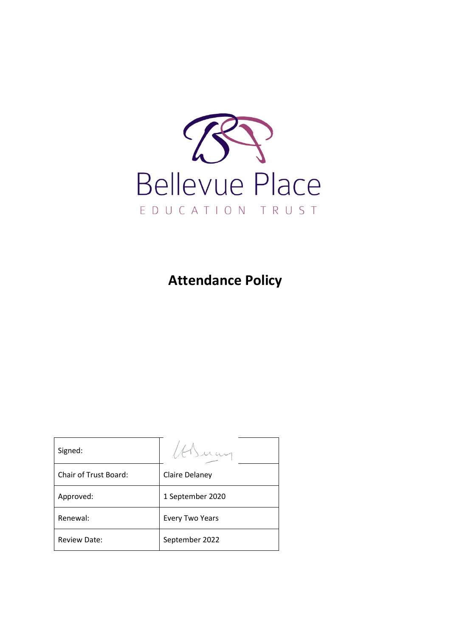

**Attendance Policy**

| Signed:                      |                        |
|------------------------------|------------------------|
| <b>Chair of Trust Board:</b> | Claire Delaney         |
| Approved:                    | 1 September 2020       |
| Renewal:                     | <b>Every Two Years</b> |
| <b>Review Date:</b>          | September 2022         |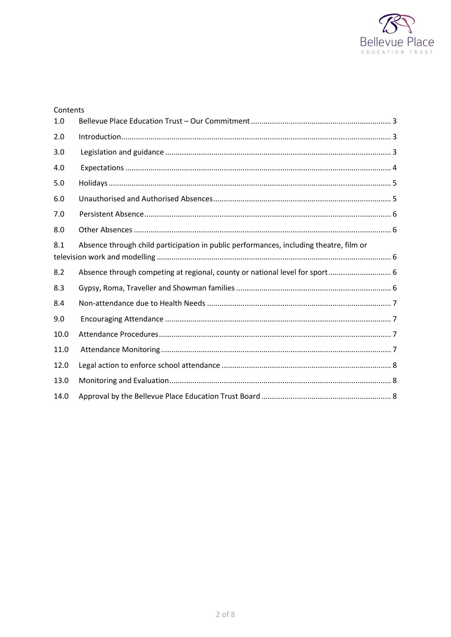

| Contents |                                                                                        |  |  |  |
|----------|----------------------------------------------------------------------------------------|--|--|--|
| 1.0      |                                                                                        |  |  |  |
| 2.0      |                                                                                        |  |  |  |
| 3.0      |                                                                                        |  |  |  |
| 4.0      |                                                                                        |  |  |  |
| 5.0      |                                                                                        |  |  |  |
| 6.0      |                                                                                        |  |  |  |
| 7.0      |                                                                                        |  |  |  |
| 8.0      |                                                                                        |  |  |  |
| 8.1      | Absence through child participation in public performances, including theatre, film or |  |  |  |
| 8.2      | Absence through competing at regional, county or national level for sport 6            |  |  |  |
| 8.3      |                                                                                        |  |  |  |
| 8.4      |                                                                                        |  |  |  |
| 9.0      |                                                                                        |  |  |  |
| 10.0     |                                                                                        |  |  |  |
| 11.0     |                                                                                        |  |  |  |
| 12.0     |                                                                                        |  |  |  |
| 13.0     |                                                                                        |  |  |  |
| 14.0     |                                                                                        |  |  |  |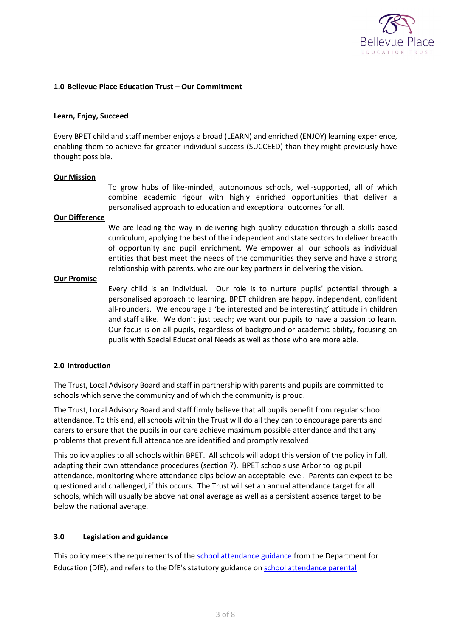

### <span id="page-2-0"></span>**1.0 Bellevue Place Education Trust – Our Commitment**

#### **Learn, Enjoy, Succeed**

Every BPET child and staff member enjoys a broad (LEARN) and enriched (ENJOY) learning experience, enabling them to achieve far greater individual success (SUCCEED) than they might previously have thought possible.

#### **Our Mission**

To grow hubs of like-minded, autonomous schools, well-supported, all of which combine academic rigour with highly enriched opportunities that deliver a personalised approach to education and exceptional outcomes for all.

### **Our Difference**

We are leading the way in delivering high quality education through a skills-based curriculum, applying the best of the independent and state sectors to deliver breadth of opportunity and pupil enrichment. We empower all our schools as individual entities that best meet the needs of the communities they serve and have a strong relationship with parents, who are our key partners in delivering the vision.

#### **Our Promise**

Every child is an individual. Our role is to nurture pupils' potential through a personalised approach to learning. BPET children are happy, independent, confident all-rounders. We encourage a 'be interested and be interesting' attitude in children and staff alike. We don't just teach; we want our pupils to have a passion to learn. Our focus is on all pupils, regardless of background or academic ability, focusing on pupils with Special Educational Needs as well as those who are more able.

### <span id="page-2-1"></span>**2.0 Introduction**

The Trust, Local Advisory Board and staff in partnership with parents and pupils are committed to schools which serve the community and of which the community is proud.

The Trust, Local Advisory Board and staff firmly believe that all pupils benefit from regular school attendance. To this end, all schools within the Trust will do all they can to encourage parents and carers to ensure that the pupils in our care achieve maximum possible attendance and that any problems that prevent full attendance are identified and promptly resolved.

This policy applies to all schools within BPET. All schools will adopt this version of the policy in full, adapting their own attendance procedures (section 7). BPET schools use Arbor to log pupil attendance, monitoring where attendance dips below an acceptable level. Parents can expect to be questioned and challenged, if this occurs. The Trust will set an annual attendance target for all schools, which will usually be above national average as well as a persistent absence target to be below the national average.

### <span id="page-2-2"></span>**3.0 Legislation and guidance**

This policy meets the requirements of the [school attendance guidance](https://www.gov.uk/government/publications/school-attendance) from the Department for Education (DfE), and refers to the DfE's statutory guidance o[n school attendance parental](https://www.gov.uk/government/publications/parental-responsibility-measures-for-behaviour-and-attendance)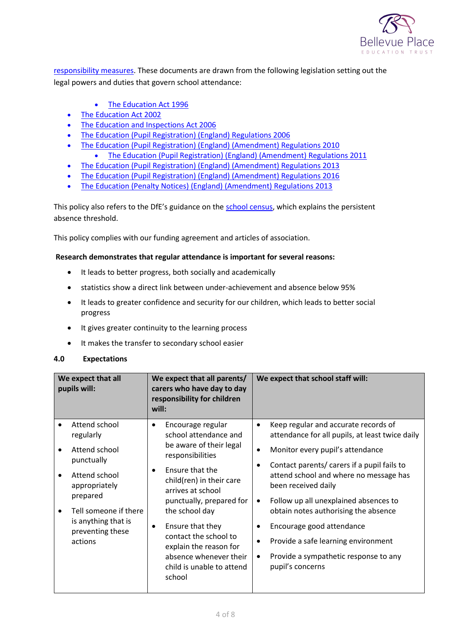

[responsibility measures.](https://www.gov.uk/government/publications/parental-responsibility-measures-for-behaviour-and-attendance) These documents are drawn from the following legislation setting out the legal powers and duties that govern school attendance:

- [The Education Act 1996](https://www.legislation.gov.uk/ukpga/1996/56/part/VI/chapter/II)
- [The Education Act 2002](http://www.legislation.gov.uk/ukpga/2002/32/part/3/chapter/3)
- [The Education and Inspections Act 2006](http://www.legislation.gov.uk/ukpga/2006/40/part/7/chapter/2/crossheading/school-attendance)
- [The Education \(Pupil Registration\) \(England\) Regulations 2006](http://www.legislation.gov.uk/uksi/2006/1751/contents/made)
- [The Education \(Pupil Registration\) \(England\) \(Amendment\) Regulations 2010](http://www.centralbedfordshire.gov.uk/Images/amendment-regulation-2010_tcm3-8642.pdf)
	- [The Education \(Pupil Registration\) \(England\) \(Amendment\) Regulations 2011](http://www.legislation.gov.uk/uksi/2011/1625/made)
- The Education [\(Pupil Registration\) \(England\) \(Amendment\) Regulations 2013](http://www.legislation.gov.uk/uksi/2013/756/made)
- [The Education \(Pupil Registration\) \(England\) \(Amendment\) Regulations 2016](http://legislation.data.gov.uk/uksi/2016/792/made/data.html)
- [The Education \(Penalty Notices\) \(England\) \(Amendment\) Regulations 2013](http://www.legislation.gov.uk/uksi/2013/756/pdfs/uksiem_20130756_en.pdf)

This policy also refers to the DfE's guidance on the [school census,](https://www.gov.uk/government/publications/school-census-2017-to-2018-guide-for-schools-and-las) which explains the persistent absence threshold.

This policy complies with our funding agreement and articles of association.

### **Research demonstrates that regular attendance is important for several reasons:**

- It leads to better progress, both socially and academically
- statistics show a direct link between under-achievement and absence below 95%
- It leads to greater confidence and security for our children, which leads to better social progress
- It gives greater continuity to the learning process
- It makes the transfer to secondary school easier

### <span id="page-3-0"></span>**4.0 Expectations**

| We expect that all<br>pupils will:                                          | We expect that all parents/<br>carers who have day to day<br>responsibility for children<br>will:                                                      | We expect that school staff will:                                                                                                                                     |
|-----------------------------------------------------------------------------|--------------------------------------------------------------------------------------------------------------------------------------------------------|-----------------------------------------------------------------------------------------------------------------------------------------------------------------------|
| Attend school<br>regularly                                                  | Encourage regular<br>٠<br>school attendance and                                                                                                        | Keep regular and accurate records of<br>attendance for all pupils, at least twice daily                                                                               |
| Attend school<br>punctually                                                 | be aware of their legal<br>responsibilities                                                                                                            | Monitor every pupil's attendance                                                                                                                                      |
| Attend school<br>appropriately<br>prepared                                  | Ensure that the<br>child(ren) in their care<br>arrives at school<br>punctually, prepared for                                                           | Contact parents/ carers if a pupil fails to<br>attend school and where no message has<br>been received daily<br>Follow up all unexplained absences to<br>٠            |
| Tell someone if there<br>is anything that is<br>preventing these<br>actions | the school day<br>Ensure that they<br>contact the school to<br>explain the reason for<br>absence whenever their<br>child is unable to attend<br>school | obtain notes authorising the absence<br>Encourage good attendance<br>Provide a safe learning environment<br>Provide a sympathetic response to any<br>pupil's concerns |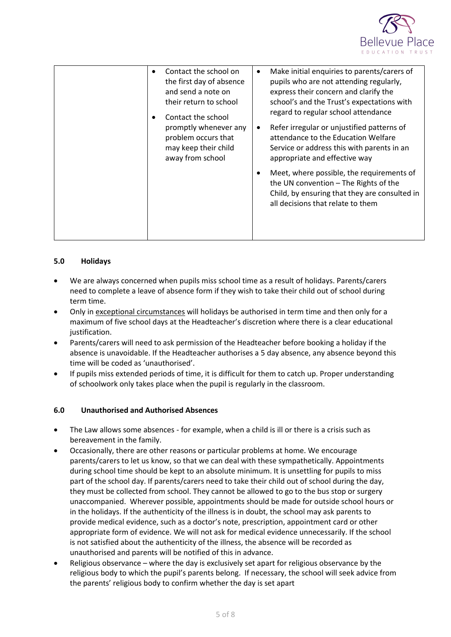

| Contact the school on<br>$\bullet$<br>the first day of absence<br>and send a note on<br>their return to school<br>Contact the school<br>promptly whenever any<br>problem occurs that<br>may keep their child<br>away from school | Make initial enquiries to parents/carers of<br>٠<br>pupils who are not attending regularly,<br>express their concern and clarify the<br>school's and the Trust's expectations with<br>regard to regular school attendance<br>Refer irregular or unjustified patterns of<br>$\bullet$<br>attendance to the Education Welfare<br>Service or address this with parents in an<br>appropriate and effective way |
|----------------------------------------------------------------------------------------------------------------------------------------------------------------------------------------------------------------------------------|------------------------------------------------------------------------------------------------------------------------------------------------------------------------------------------------------------------------------------------------------------------------------------------------------------------------------------------------------------------------------------------------------------|
|                                                                                                                                                                                                                                  | Meet, where possible, the requirements of<br>$\bullet$<br>the UN convention - The Rights of the<br>Child, by ensuring that they are consulted in<br>all decisions that relate to them                                                                                                                                                                                                                      |

# <span id="page-4-0"></span>**5.0 Holidays**

- We are always concerned when pupils miss school time as a result of holidays. Parents/carers need to complete a leave of absence form if they wish to take their child out of school during term time.
- Only in exceptional circumstances will holidays be authorised in term time and then only for a maximum of five school days at the Headteacher's discretion where there is a clear educational justification.
- Parents/carers will need to ask permission of the Headteacher before booking a holiday if the absence is unavoidable. If the Headteacher authorises a 5 day absence, any absence beyond this time will be coded as 'unauthorised'.
- If pupils miss extended periods of time, it is difficult for them to catch up. Proper understanding of schoolwork only takes place when the pupil is regularly in the classroom.

# <span id="page-4-1"></span>**6.0 Unauthorised and Authorised Absences**

- The Law allows some absences for example, when a child is ill or there is a crisis such as bereavement in the family.
- Occasionally, there are other reasons or particular problems at home. We encourage parents/carers to let us know, so that we can deal with these sympathetically. Appointments during school time should be kept to an absolute minimum. It is unsettling for pupils to miss part of the school day. If parents/carers need to take their child out of school during the day, they must be collected from school. They cannot be allowed to go to the bus stop or surgery unaccompanied. Wherever possible, appointments should be made for outside school hours or in the holidays. If the authenticity of the illness is in doubt, the school may ask parents to provide medical evidence, such as a doctor's note, prescription, appointment card or other appropriate form of evidence. We will not ask for medical evidence unnecessarily. If the school is not satisfied about the authenticity of the illness, the absence will be recorded as unauthorised and parents will be notified of this in advance.
- Religious observance where the day is exclusively set apart for religious observance by the religious body to which the pupil's parents belong. If necessary, the school will seek advice from the parents' religious body to confirm whether the day is set apart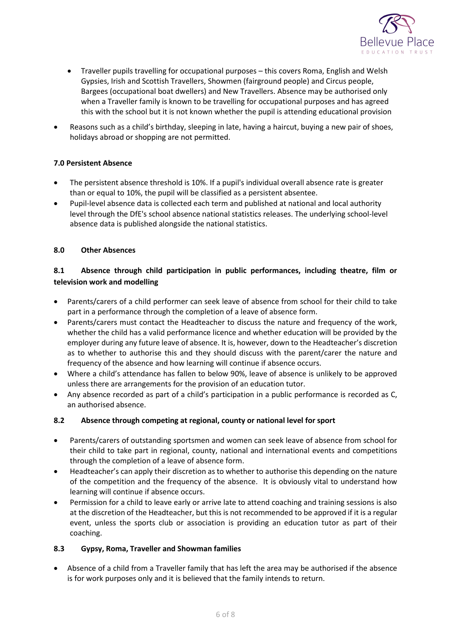

- Traveller pupils travelling for occupational purposes this covers Roma, English and Welsh Gypsies, Irish and Scottish Travellers, Showmen (fairground people) and Circus people, Bargees (occupational boat dwellers) and New Travellers. Absence may be authorised only when a Traveller family is known to be travelling for occupational purposes and has agreed this with the school but it is not known whether the pupil is attending educational provision
- Reasons such as a child's birthday, sleeping in late, having a haircut, buying a new pair of shoes, holidays abroad or shopping are not permitted.

# <span id="page-5-0"></span>**7.0 Persistent Absence**

- The persistent absence threshold is 10%. If a pupil's individual overall absence rate is greater than or equal to 10%, the pupil will be classified as a persistent absentee.
- Pupil-level absence data is collected each term and published at national and local authority level through the DfE's school absence national statistics releases. The underlying school-level absence data is published alongside the national statistics.

# <span id="page-5-1"></span>**8.0 Other Absences**

# <span id="page-5-2"></span>**8.1 Absence through child participation in public performances, including theatre, film or television work and modelling**

- Parents/carers of a child performer can seek leave of absence from school for their child to take part in a performance through the completion of a leave of absence form.
- Parents/carers must contact the Headteacher to discuss the nature and frequency of the work, whether the child has a valid performance licence and whether education will be provided by the employer during any future leave of absence. It is, however, down to the Headteacher's discretion as to whether to authorise this and they should discuss with the parent/carer the nature and frequency of the absence and how learning will continue if absence occurs.
- Where a child's attendance has fallen to below 90%, leave of absence is unlikely to be approved unless there are arrangements for the provision of an education tutor.
- Any absence recorded as part of a child's participation in a public performance is recorded as C, an authorised absence.

# <span id="page-5-3"></span>**8.2 Absence through competing at regional, county or national level for sport**

- Parents/carers of outstanding sportsmen and women can seek leave of absence from school for their child to take part in regional, county, national and international events and competitions through the completion of a leave of absence form.
- Headteacher's can apply their discretion as to whether to authorise this depending on the nature of the competition and the frequency of the absence. It is obviously vital to understand how learning will continue if absence occurs.
- Permission for a child to leave early or arrive late to attend coaching and training sessions is also at the discretion of the Headteacher, but this is not recommended to be approved if it is a regular event, unless the sports club or association is providing an education tutor as part of their coaching.

### <span id="page-5-4"></span>**8.3 Gypsy, Roma, Traveller and Showman families**

• Absence of a child from a Traveller family that has left the area may be authorised if the absence is for work purposes only and it is believed that the family intends to return.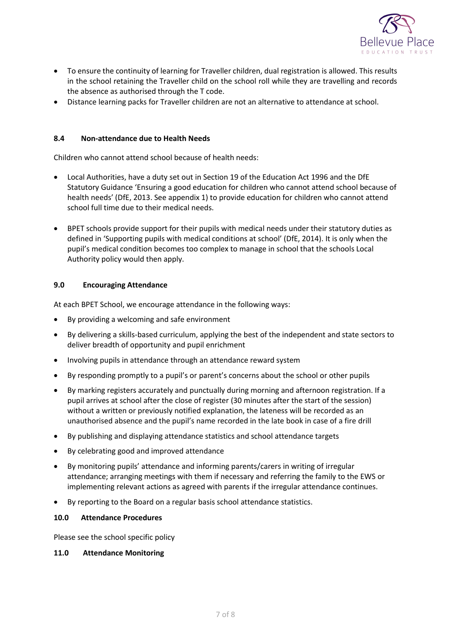

- To ensure the continuity of learning for Traveller children, dual registration is allowed. This results in the school retaining the Traveller child on the school roll while they are travelling and records the absence as authorised through the T code.
- Distance learning packs for Traveller children are not an alternative to attendance at school.

## <span id="page-6-0"></span>**8.4 Non-attendance due to Health Needs**

Children who cannot attend school because of health needs:

- Local Authorities, have a duty set out in Section 19 of the Education Act 1996 and the DfE Statutory Guidance 'Ensuring a good education for children who cannot attend school because of health needs' (DfE, 2013. See appendix 1) to provide education for children who cannot attend school full time due to their medical needs.
- BPET schools provide support for their pupils with medical needs under their statutory duties as defined in 'Supporting pupils with medical conditions at school' (DfE, 2014). It is only when the pupil's medical condition becomes too complex to manage in school that the schools Local Authority policy would then apply.

### <span id="page-6-1"></span>**9.0 Encouraging Attendance**

At each BPET School, we encourage attendance in the following ways:

- By providing a welcoming and safe environment
- By delivering a skills-based curriculum, applying the best of the independent and state sectors to deliver breadth of opportunity and pupil enrichment
- Involving pupils in attendance through an attendance reward system
- By responding promptly to a pupil's or parent's concerns about the school or other pupils
- By marking registers accurately and punctually during morning and afternoon registration. If a pupil arrives at school after the close of register (30 minutes after the start of the session) without a written or previously notified explanation, the lateness will be recorded as an unauthorised absence and the pupil's name recorded in the late book in case of a fire drill
- By publishing and displaying attendance statistics and school attendance targets
- By celebrating good and improved attendance
- By monitoring pupils' attendance and informing parents/carers in writing of irregular attendance; arranging meetings with them if necessary and referring the family to the EWS or implementing relevant actions as agreed with parents if the irregular attendance continues.
- By reporting to the Board on a regular basis school attendance statistics.

### <span id="page-6-2"></span>**10.0 Attendance Procedures**

Please see the school specific policy

# <span id="page-6-3"></span>**11.0 Attendance Monitoring**